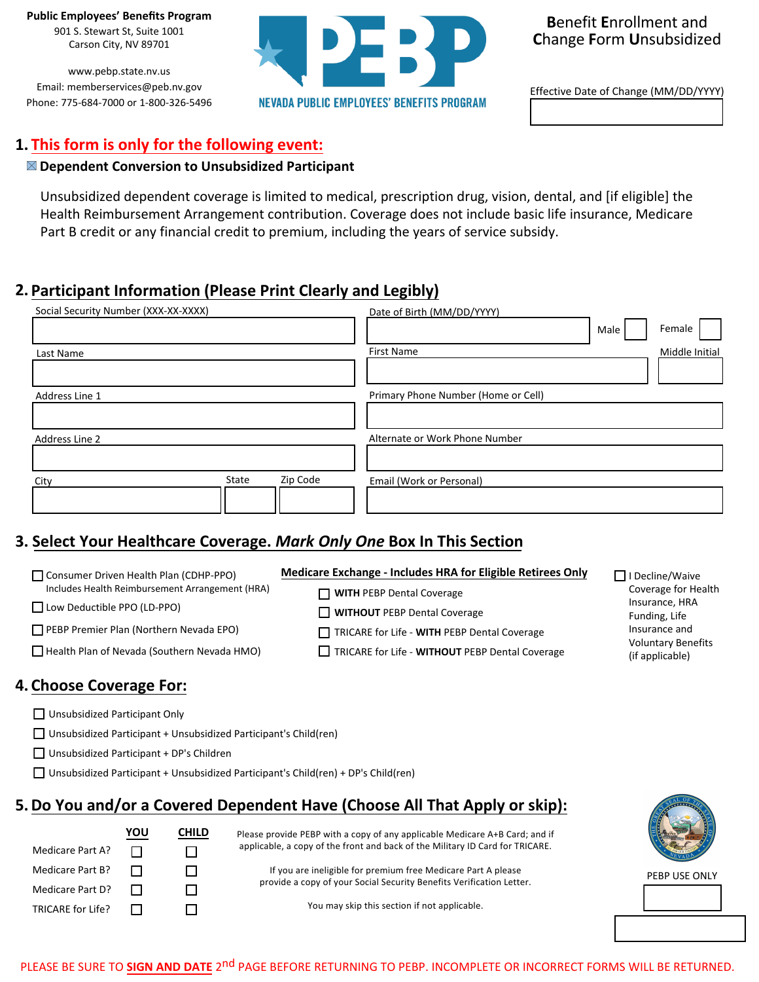**Public Employees' Benefits Program**

901 S. Stewart St, Suite 1001 Carson City, NV 89701

www.pebp.state.nv.us Email: memberservices@peb.nv.gov Phone: 775-684-7000 or 1-800-326-5496



**B**enefit **E**nrollment and **C**hange **F**orm **U**nsubsidized

Effective Date of Change (MM/DD/YYYY)

# **This form is only for the following event: 1.**

#### **Dependent Conversion to Unsubsidized Participant**

Unsubsidized dependent coverage is limited to medical, prescription drug, vision, dental, and [if eligible] the Health Reimbursement Arrangement contribution. Coverage does not include basic life insurance, Medicare Part B credit or any financial credit to premium, including the years of service subsidy.

# **Participant Information (Please Print Clearly and Legibly) 2.**

| Social Security Number (XXX-XX-XXXX) | Date of Birth (MM/DD/YYYY)<br>Female<br>Male |
|--------------------------------------|----------------------------------------------|
| Last Name                            | <b>First Name</b><br>Middle Initial          |
| Address Line 1                       | Primary Phone Number (Home or Cell)          |
| Address Line 2                       | Alternate or Work Phone Number               |
| Zip Code<br>State<br>City            | Email (Work or Personal)                     |

# **Select Your Healthcare Coverage.** *Mark Only One* **Box In This Section 3.**

| Consumer Driven Health Plan (CDHP-PPO)             | Medicare Exchange - Includes HRA for Eligible Retirees Only | □ I Decline/Waive                            |  |
|----------------------------------------------------|-------------------------------------------------------------|----------------------------------------------|--|
| Includes Health Reimbursement Arrangement (HRA)    | $\Box$ WITH PEBP Dental Coverage                            | Coverage for Health                          |  |
| $\Box$ Low Deductible PPO (LD-PPO)                 | <b>WITHOUT</b> PEBP Dental Coverage                         | Insurance, HRA<br>Funding, Life              |  |
| PEBP Premier Plan (Northern Nevada EPO)            | TRICARE for Life - WITH PEBP Dental Coverage                | Insurance and                                |  |
| $\Box$ Health Plan of Nevada (Southern Nevada HMO) | TRICARE for Life - WITHOUT PEBP Dental Coverage             | <b>Voluntary Benefits</b><br>(if applicable) |  |
|                                                    |                                                             |                                              |  |

### **Choose Coverage For: 4.**

Unsubsidized Participant Only

 $\Box$  Unsubsidized Participant + Unsubsidized Participant's Child(ren)

□ Unsubsidized Participant + DP's Children

 $\Box$  Unsubsidized Participant + Unsubsidized Participant's Child(ren) + DP's Child(ren)

## **Do You and/or a Covered Dependent Have (Choose All That Apply or skip): 5.**

|                   | YOU | CHILD | Please provide PEBP with a copy of any applicable Medicare A+B Card; and if   |               |
|-------------------|-----|-------|-------------------------------------------------------------------------------|---------------|
| Medicare Part A?  |     |       | applicable, a copy of the front and back of the Military ID Card for TRICARE. |               |
| Medicare Part B?  |     |       | If you are ineligible for premium free Medicare Part A please                 | PEBP USE ONLY |
| Medicare Part D?  |     |       | provide a copy of your Social Security Benefits Verification Letter.          |               |
| TRICARE for Life? |     |       | You may skip this section if not applicable.                                  |               |